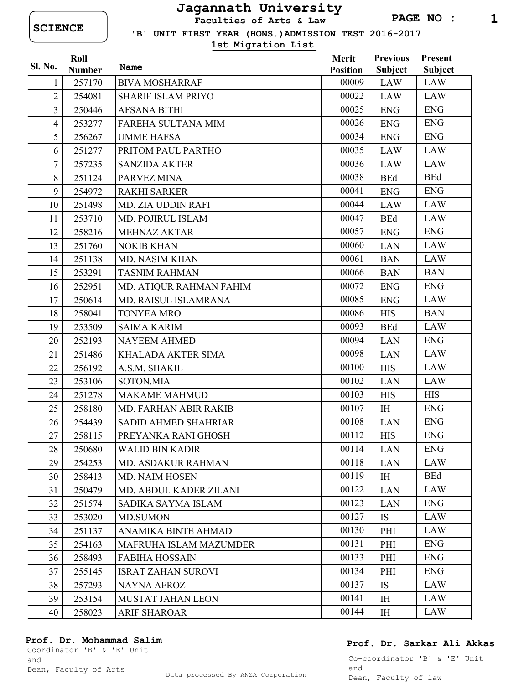## Jagannath University

Faculties of Arts & Law

'B' UNIT FIRST YEAR (HONS.)ADMISSION TEST 2016-2017

1st Migration List

| Sl. No.        | Roll          |                               | Merit           | <b>Previous</b> | <b>Present</b> |
|----------------|---------------|-------------------------------|-----------------|-----------------|----------------|
|                | <b>Number</b> | Name                          | <b>Position</b> | <b>Subject</b>  | Subject        |
| 1              | 257170        | <b>BIVA MOSHARRAF</b>         | 00009           | LAW             | LAW            |
| $\overline{2}$ | 254081        | <b>SHARIF ISLAM PRIYO</b>     | 00022           | <b>LAW</b>      | <b>LAW</b>     |
| $\overline{3}$ | 250446        | <b>AFSANA BITHI</b>           | 00025           | <b>ENG</b>      | <b>ENG</b>     |
| $\overline{4}$ | 253277        | FAREHA SULTANA MIM            | 00026           | <b>ENG</b>      | <b>ENG</b>     |
| 5              | 256267        | <b>UMME HAFSA</b>             | 00034           | <b>ENG</b>      | <b>ENG</b>     |
| 6              | 251277        | PRITOM PAUL PARTHO            | 00035           | <b>LAW</b>      | LAW            |
| $\overline{7}$ | 257235        | <b>SANZIDA AKTER</b>          | 00036           | <b>LAW</b>      | <b>LAW</b>     |
| 8              | 251124        | PARVEZ MINA                   | 00038           | <b>BEd</b>      | <b>BEd</b>     |
| 9              | 254972        | <b>RAKHI SARKER</b>           | 00041           | <b>ENG</b>      | <b>ENG</b>     |
| 10             | 251498        | MD. ZIA UDDIN RAFI            | 00044           | <b>LAW</b>      | <b>LAW</b>     |
| 11             | 253710        | MD. POJIRUL ISLAM             | 00047           | <b>BEd</b>      | <b>LAW</b>     |
| 12             | 258216        | <b>MEHNAZ AKTAR</b>           | 00057           | <b>ENG</b>      | <b>ENG</b>     |
| 13             | 251760        | <b>NOKIB KHAN</b>             | 00060           | <b>LAN</b>      | LAW            |
| 14             | 251138        | MD. NASIM KHAN                | 00061           | <b>BAN</b>      | <b>LAW</b>     |
| 15             | 253291        | <b>TASNIM RAHMAN</b>          | 00066           | <b>BAN</b>      | <b>BAN</b>     |
| 16             | 252951        | MD. ATIQUR RAHMAN FAHIM       | 00072           | <b>ENG</b>      | <b>ENG</b>     |
| 17             | 250614        | MD. RAISUL ISLAMRANA          | 00085           | <b>ENG</b>      | <b>LAW</b>     |
| 18             | 258041        | <b>TONYEA MRO</b>             | 00086           | <b>HIS</b>      | <b>BAN</b>     |
| 19             | 253509        | <b>SAIMA KARIM</b>            | 00093           | <b>BEd</b>      | <b>LAW</b>     |
| 20             | 252193        | <b>NAYEEM AHMED</b>           | 00094           | <b>LAN</b>      | <b>ENG</b>     |
| 21             | 251486        | KHALADA AKTER SIMA            | 00098           | <b>LAN</b>      | LAW            |
| 22             | 256192        | A.S.M. SHAKIL                 | 00100           | <b>HIS</b>      | <b>LAW</b>     |
| 23             | 253106        | SOTON.MIA                     | 00102           | <b>LAN</b>      | <b>LAW</b>     |
| 24             | 251278        | <b>MAKAME MAHMUD</b>          | 00103           | <b>HIS</b>      | <b>HIS</b>     |
| 25             | 258180        | <b>MD. FARHAN ABIR RAKIB</b>  | 00107           | I <sub>H</sub>  | <b>ENG</b>     |
| 26             | 254439        | SADID AHMED SHAHRIAR          | 00108           | <b>LAN</b>      | <b>ENG</b>     |
| 27             | 258115        | PREYANKA RANI GHOSH           | 00112           | <b>HIS</b>      | <b>ENG</b>     |
| 28             | 250680        | <b>WALID BIN KADIR</b>        | 00114           | <b>LAN</b>      | <b>ENG</b>     |
| 29             | 254253        | <b>MD. ASDAKUR RAHMAN</b>     | 00118           | <b>LAN</b>      | LAW            |
| 30             | 258413        | <b>MD. NAIM HOSEN</b>         | 00119           | IH              | <b>BEd</b>     |
| 31             | 250479        | MD. ABDUL KADER ZILANI        | 00122           | <b>LAN</b>      | <b>LAW</b>     |
| 32             | 251574        | SADIKA SAYMA ISLAM            | 00123           | LAN             | <b>ENG</b>     |
| 33             | 253020        | <b>MD.SUMON</b>               | 00127           | <b>IS</b>       | LAW            |
| 34             | 251137        | ANAMIKA BINTE AHMAD           | 00130           | PHI             | <b>LAW</b>     |
| 35             | 254163        | <b>MAFRUHA ISLAM MAZUMDER</b> | 00131           | PHI             | <b>ENG</b>     |
| 36             | 258493        | <b>FABIHA HOSSAIN</b>         | 00133           | PHI             | <b>ENG</b>     |
| 37             | 255145        | <b>ISRAT ZAHAN SUROVI</b>     | 00134           | PHI             | <b>ENG</b>     |
| 38             | 257293        | <b>NAYNA AFROZ</b>            | 00137           | IS              | LAW            |
| 39             | 253154        | MUSTAT JAHAN LEON             | 00141           | I <sub>H</sub>  | LAW            |
| 40             | 258023        | ARIF SHAROAR                  | 00144           | IH              | <b>LAW</b>     |

## Prof. Dr. Mohammad Salim

Coordinator 'B' & 'E' Unit and

## Prof. Dr. Sarkar Ali Akkas

Co-coordinator 'B' & 'E' Unit and Dean, Faculty of law